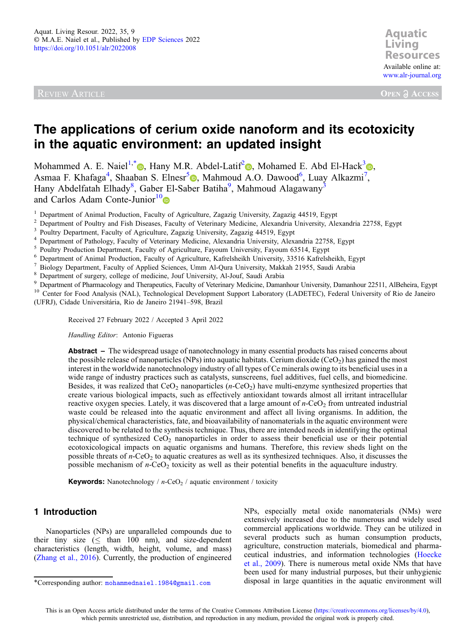REVIEW ARTICLE



**OPEN A ACCESS** 

# The applications of cerium oxide nanoform and its ecotoxicity in the aquatic environment: an updated insight

Mohammed A. E. Naiel<sup>1,[\\*](https://orcid.org/0000-0002-8172-5366)</sup>  $\bullet$ , Hany M.R. Abdel-Latif<sup>2</sup>  $\bullet$ , Mohamed E. Abd El-Hack<sup>3</sup> $\bullet$ , Asmaa F. Khafaga<sup>4</sup>, Shaaban S. Elnesr<sup>5</sup><sup>®</sup>, Mahmoud A.O. Dawood<sup>6</sup>, Luay Alkazmi<sup>[7](https://orcid.org/0000-0002-2831-8534)</sup>, Hany Abdelfatah Elhady<sup>8</sup>, Gaber El-Saber Batiha<sup>9</sup>, Mahmoud Alagawany<sup>3</sup> and Carlos Adam Conte-Junior $10\degree$ 

<sup>1</sup> Department of Animal Production, Faculty of Agriculture, Zagazig University, Zagazig 44519, Egypt<br>
<sup>2</sup> Department of Poultry and Fish Diseases, Faculty of Veterinary Medicine, Alexandria University, Alexandria 22758, (UFRJ), Cidade Universitária, Rio de Janeiro 21941–598, Brazil

Received 27 February 2022 / Accepted 3 April 2022

Handling Editor: Antonio Figueras

Abstract – The widespread usage of nanotechnology in many essential products has raised concerns about the possible release of nanoparticles (NPs) into aquatic habitats. Cerium dioxide (CeO<sub>2</sub>) has gained the most interest in the worldwide nanotechnology industry of all types of Ce minerals owing to its beneficial uses in a wide range of industry practices such as catalysts, sunscreens, fuel additives, fuel cells, and biomedicine. Besides, it was realized that  $CeO<sub>2</sub>$  nanoparticles (n-CeO<sub>2</sub>) have multi-enzyme synthesized properties that create various biological impacts, such as effectively antioxidant towards almost all irritant intracellular reactive oxygen species. Lately, it was discovered that a large amount of  $n$ -CeO<sub>2</sub> from untreated industrial waste could be released into the aquatic environment and affect all living organisms. In addition, the physical/chemical characteristics, fate, and bioavailability of nanomaterials in the aquatic environment were discovered to be related to the synthesis technique. Thus, there are intended needs in identifying the optimal technique of synthesized  $CeO<sub>2</sub>$  nanoparticles in order to assess their beneficial use or their potential ecotoxicological impacts on aquatic organisms and humans. Therefore, this review sheds light on the possible threats of  $n$ -CeO<sub>2</sub> to aquatic creatures as well as its synthesized techniques. Also, it discusses the possible mechanism of  $n$ -CeO<sub>2</sub> toxicity as well as their potential benefits in the aquaculture industry.

**Keywords:** Nanotechnology /  $n$ -CeO<sub>2</sub> / aquatic environment / toxicity

# 1 Introduction

Nanoparticles (NPs) are unparalleled compounds due to their tiny size  $( \leq$  than 100 nm), and size-dependent characteristics (length, width, height, volume, and mass) ([Zhang et al., 2016](#page-12-0)). Currently, the production of engineered

NPs, especially metal oxide nanomaterials (NMs) were extensively increased due to the numerous and widely used commercial applications worldwide. They can be utilized in several products such as human consumption products, agriculture, construction materials, biomedical and pharmaceutical industries, and information technologies [\(Hoecke](#page-10-0) [et al., 2009\)](#page-10-0). There is numerous metal oxide NMs that have been used for many industrial purposes, but their unhygienic \*Corresponding author: [mohammednaiel.1984@gmail.com](mailto:mohammednaiel.1984@gmail.com) disposal in large quantities in the aquatic environment will

This is an Open Access article distributed under the terms of the Creative Commons Attribution License [\(https://creativecommons.org/licenses/by/4.0\)](http://creativecommons.org/licenses/by/4.0), which permits unrestricted use, distribution, and reproduction in any medium, provided the original work is properly cited.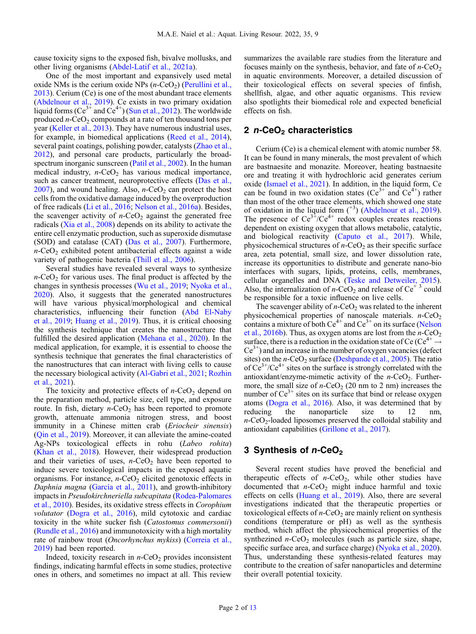cause toxicity signs to the exposed fish, bivalve mollusks, and other living organisms [\(Abdel-Latif et al., 2021a](#page-8-0)).

One of the most important and expansively used metal oxide NMs is the cerium oxide NPs  $(n$ -CeO<sub>2</sub>) ([Perullini et al.,](#page-11-0) [2013](#page-11-0)). Cerium (Ce) is one of the most abundant trace elements ([Abdelnour et al., 2019\)](#page-8-0). Ce exists in two primary oxidation liquid forms (Ce<sup>3+</sup> and Ce<sup>4+</sup>) [\(Sun et al., 2012](#page-12-0)). The worldwide produced  $n$ -CeO<sub>2</sub> compounds at a rate of ten thousand tons per year [\(Keller et al., 2013\)](#page-10-0). They have numerous industrial uses, for example, in biomedical applications ([Reed et al., 2014](#page-10-0)), several paint coatings, polishing powder, catalysts ([Zhao et al.,](#page-12-0) [2012](#page-12-0)), and personal care products, particularly the broadspectrum inorganic sunscreen ([Patil et al., 2002\)](#page-11-0). In the human medical industry,  $n$ -CeO<sub>2</sub> has various medical importance, such as cancer treatment, neuroprotective effects [\(Das et al.,](#page-9-0) [2007](#page-9-0)), and wound healing. Also,  $n$ -CeO<sub>2</sub> can protect the host cells from the oxidative damage induced by the overproduction of free radicals ([Li et al., 2016;](#page-10-0) [Nelson et al., 2016a](#page-11-0)). Besides, the scavenger activity of  $n$ -CeO<sub>2</sub> against the generated free radicals [\(Xia et al., 2008\)](#page-12-0) depends on its ability to activate the entire cell enzymatic production, such as superoxide dismutase (SOD) and catalase (CAT) [\(Das et al., 2007\)](#page-9-0). Furthermore,  $n$ -CeO<sub>2</sub> exhibited potent antibacterial effects against a wide variety of pathogenic bacteria [\(Thill et al., 2006\)](#page-12-0).

Several studies have revealed several ways to synthesize  $n$ -CeO<sub>2</sub> for various uses. The final product is affected by the changes in synthesis processes [\(Wu et al., 2019;](#page-12-0) [Nyoka et al.,](#page-11-0) [2020](#page-11-0)). Also, it suggests that the generated nanostructures will have various physical/morphological and chemical characteristics, influencing their function [\(Abd El-Naby](#page-8-0) [et al., 2019](#page-8-0); [Huang et al., 2019\)](#page-10-0). Thus, it is critical choosing the synthesis technique that creates the nanostructure that fulfilled the desired application ([Mehana et al., 2020\)](#page-11-0). In the medical application, for example, it is essential to choose the synthesis technique that generates the final characteristics of the nanostructures that can interact with living cells to cause the necessary biological activity ([Al-Gabri et al., 2021](#page-8-0); [Rozhin](#page-12-0) [et al., 2021](#page-12-0)).

The toxicity and protective effects of  $n$ -CeO<sub>2</sub> depend on the preparation method, particle size, cell type, and exposure route. In fish, dietary  $n$ -CeO<sub>2</sub> has been reported to promote growth, attenuate ammonia nitrogen stress, and boost immunity in a Chinese mitten crab (*Eriocheir sinensis*) ([Qin et al., 2019\)](#page-11-0). Moreover, it can alleviate the amine-coated Ag-NPs toxicological effects in rohu (Labeo rohita) ([Khan et al., 2018](#page-10-0)). However, their widespread production and their varieties of uses,  $n$ -CeO<sub>2</sub> have been reported to induce severe toxicological impacts in the exposed aquatic organisms. For instance,  $n$ -CeO<sub>2</sub> elicited genotoxic effects in Daphnia magna [\(García et al., 2011\)](#page-10-0), and growth-inhibitory impacts in Pseudokirchneriella subcapitata ([Rodea-Palomares](#page-11-0) [et al., 2010](#page-11-0)). Besides, its oxidative stress effects in Corophium volutator [\(Dogra et al., 2016](#page-9-0)), mild cytotoxic and cardiac toxicity in the white sucker fish (Catostomus commersonii) ([Rundle et al., 2016\)](#page-12-0) and immunotoxicity with a high mortality rate of rainbow trout (Oncorhynchus mykiss) [\(Correia et al.,](#page-9-0) [2019](#page-9-0)) had been reported.

Indeed, toxicity research in  $n$ -CeO<sub>2</sub> provides inconsistent findings, indicating harmful effects in some studies, protective ones in others, and sometimes no impact at all. This review summarizes the available rare studies from the literature and focuses mainly on the synthesis, behavior, and fate of  $n$ -CeO<sub>2</sub> in aquatic environments. Moreover, a detailed discussion of their toxicological effects on several species of finfish, shellfish, algae, and other aquatic organisms. This review also spotlights their biomedical role and expected beneficial effects on fish.

# 2  $n$ -CeO<sub>2</sub> characteristics

Cerium (Ce) is a chemical element with atomic number 58. It can be found in many minerals, the most prevalent of which are bastnaesite and monazite. Moreover, heating bastnaesite ore and treating it with hydrochloric acid generates cerium oxide ([Ismael et al., 2021\)](#page-10-0). In addition, in the liquid form, Ce can be found in two oxidation states ( $Ce^{3+}$  and  $Ce^{4+}$ ) rather than most of the other trace elements, which showed one state of oxidation in the liquid form  $(^{+3})$  [\(Abdelnour et al., 2019\)](#page-8-0). The presence of  $Ce^{3^+}/Ce^{4^+}$  redox couples creates reactions dependent on existing oxygen that allows metabolic, catalytic, and biological reactivity ([Caputo et al., 2017\)](#page-9-0). While, physicochemical structures of  $n$ -CeO<sub>2</sub> as their specific surface area, zeta potential, small size, and lower dissolution rate, increase its opportunities to distribute and generate nano-bio interfaces with sugars, lipids, proteins, cells, membranes, cellular organelles and DNA [\(Teske and Detweiler, 2015\)](#page-12-0). Also, the internalization of  $n$ -CeO<sub>2</sub> and release of Ce<sup>+3</sup> could be responsible for a toxic influence on live cells.

The scavenger ability of  $n$ -CeO<sub>2</sub> was related to the inherent physicochemical properties of nanoscale materials.  $n$ -CeO<sub>2</sub> contains a mixture of both  $Ce^{4+}$  and  $Ce^{3+}$  on its surface ([Nelson](#page-11-0) [et al., 2016b](#page-11-0)). Thus, as oxygen atoms are lost from the  $n$ -CeO<sub>2</sub> surface, there is a reduction in the oxidation state of Ce (Ce<sup>4+</sup>  $\rightarrow$  $Ce<sup>3+</sup>$ ) and an increase in the number of oxygen vacancies (defect sites) on the  $n$ -CeO<sub>2</sub> surface [\(Deshpande et al., 2005](#page-9-0)). The ratio of  $Ce^{3+}/Ce^{4+}$  sites on the surface is strongly correlated with the antioxidant/enzyme-mimetic activity of the  $n$ -CeO<sub>2</sub>. Furthermore, the small size of  $n$ -CeO<sub>2</sub> (20 nm to 2 nm) increases the number of  $Ce^{3+}$  sites on its surface that bind or release oxygen atoms [\(Dogra et al., 2016\)](#page-9-0). Also, it was determined that by reducing the nanoparticle size to 12 nm,  $n$ -CeO<sub>2</sub>-loaded liposomes preserved the colloidal stability and antioxidant capabilities [\(Grillone et al., 2017\)](#page-10-0).

# 3 Synthesis of  $n$ -CeO<sub>2</sub>

Several recent studies have proved the beneficial and therapeutic effects of  $n$ -CeO<sub>2</sub>, while other studies have documented that  $n$ -CeO<sub>2</sub> might induce harmful and toxic effects on cells [\(Huang et al., 2019\)](#page-10-0). Also, there are several investigations indicated that the therapeutic properties or toxicological effects of  $n$ -CeO<sub>2</sub> are mainly relient on synthesis conditions (temperature or pH) as well as the synthesis method, which affect the physicochemical properties of the synthezined  $n$ -CeO<sub>2</sub> molecules (such as particle size, shape, specific surface area, and surface charge) [\(Nyoka et al., 2020\)](#page-11-0). Thus, understanding these synthesis-related features may contribute to the creation of safer nanoparticles and determine their overall potential toxicity.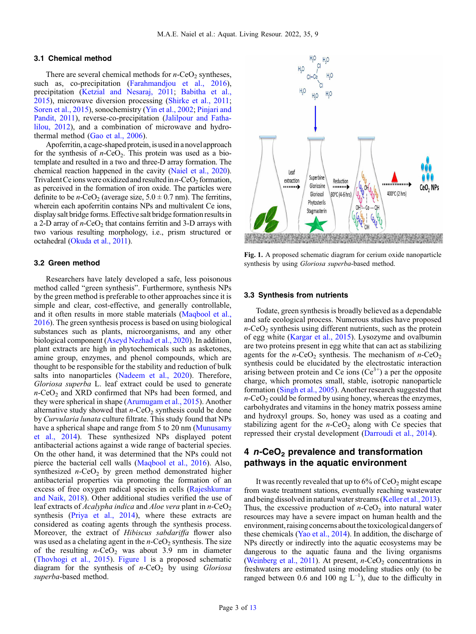### 3.1 Chemical method

There are several chemical methods for  $n$ -CeO<sub>2</sub> syntheses, such as, co-precipitation ([Farahmandjou et al., 2016](#page-9-0)), precipitation ([Ketzial and Nesaraj, 2011](#page-10-0); [Babitha et al.,](#page-9-0) [2015](#page-9-0)), microwave diversion processing ([Shirke et al., 2011](#page-12-0); [Soren et al., 2015](#page-12-0)), sonochemistry [\(Yin et al., 2002](#page-12-0); [Pinjari and](#page-11-0) [Pandit, 2011](#page-11-0)), reverse-co-precipitation ([Jalilpour and Fatha](#page-10-0)[lilou, 2012](#page-10-0)), and a combination of microwave and hydrothermal method ([Gao et al., 2006\)](#page-10-0).

Apoferritin, a cage-shaped protein, is used in a novel approach for the synthesis of  $n$ -CeO<sub>2</sub>. This protein was used as a biotemplate and resulted in a two and three-D array formation. The chemical reaction happened in the cavity [\(Naiel et al., 2020](#page-11-0)). Trivalent Ce ions were oxidized and resulted in  $n$ -CeO<sub>2</sub> formation, as perceived in the formation of iron oxide. The particles were definite to be *n*-CeO<sub>2</sub> (average size,  $5.0 \pm 0.7$  nm). The ferritins, wherein each apoferritin contains NPs and multivalent Ce ions, display salt bridge forms. Effective salt bridge formation results in a 2-D array of  $n$ -CeO<sub>2</sub> that contains ferritin and 3-D arrays with two various resulting morphology, i.e., prism structured or octahedral [\(Okuda et al., 2011](#page-11-0)).

#### 3.2 Green method

Researchers have lately developed a safe, less poisonous method called "green synthesis". Furthermore, synthesis NPs by the green method is preferable to other approaches since it is simple and clear, cost-effective, and generally controllable, and it often results in more stable materials ([Maqbool et al.,](#page-11-0) [2016](#page-11-0)). The green synthesis process is based on using biological substances such as plants, microorganisms, and any other biological component ([Aseyd Nezhad et al., 2020\)](#page-9-0). In addition, plant extracts are high in phytochemicals such as asketones, amine group, enzymes, and phenol compounds, which are thought to be responsible for the stability and reduction of bulk salts into nanoparticles [\(Nadeem et al., 2020\)](#page-11-0). Therefore, Gloriosa superba L. leaf extract could be used to generate  $n$ -CeO<sub>2</sub> and XRD confirmed that NPs had been formed, and they were spherical in shape ([Arumugam et al., 2015](#page-9-0)). Another alternative study showed that  $n$ -CeO<sub>2</sub> synthesis could be done by Curvularia lunata culture filtrate. This study found that NPs have a spherical shape and range from 5 to 20 nm ([Munusamy](#page-11-0) [et al., 2014\)](#page-11-0). These synthesized NPs displayed potent antibacterial actions against a wide range of bacterial species. On the other hand, it was determined that the NPs could not pierce the bacterial cell walls ([Maqbool et al., 2016\)](#page-11-0). Also, synthesized  $n$ -CeO<sub>2</sub> by green method demonstrated higher antibacterial properties via promoting the formation of an excess of free oxygen radical species in cells [\(Rajeshkumar](#page-11-0) [and Naik, 2018\)](#page-11-0). Other additional studies verified the use of leaf extracts of Acalypha indica and Aloe vera plant in n-CeO<sub>2</sub> synthesis [\(Priya et al., 2014](#page-11-0)), where these extracts are considered as coating agents through the synthesis process. Moreover, the extract of Hibiscus sabdariffa flower also was used as a chelating agent in the  $n$ -CeO<sub>2</sub> synthesis. The size of the resulting  $n$ -CeO<sub>2</sub> was about 3.9 nm in diameter ([Thovhogi et al., 2015\)](#page-12-0). Figure 1 is a proposed schematic diagram for the synthesis of  $n$ -CeO<sub>2</sub> by using *Gloriosa* superba-based method.



Fig. 1. A proposed schematic diagram for cerium oxide nanoparticle synthesis by using Gloriosa superba-based method.

#### 3.3 Synthesis from nutrients

Todate, green synthesis is broadly believed as a dependable and safe ecological process. Numerous studies have proposed  $n$ -CeO<sub>2</sub> synthesis using different nutrients, such as the protein of egg white [\(Kargar et al., 2015](#page-10-0)). Lysozyme and ovalbumin are two proteins present in egg white that can act as stabilizing agents for the  $n$ -CeO<sub>2</sub> synthesis. The mechanism of  $n$ -CeO<sub>2</sub> synthesis could be elucidated by the electrostatic interaction arising between protein and Ce ions  $(Ce^{3+})$  a per the opposite charge, which promotes small, stable, isotropic nanoparticle formation [\(Singh et al., 2005\)](#page-12-0). Another research suggested that  $n$ -CeO<sub>2</sub> could be formed by using honey, whereas the enzymes, carbohydrates and vitamins in the honey matrix possess amine and hydroxyl groups. So, honey was used as a coating and stabilizing agent for the  $n$ -CeO<sub>2</sub> along with Ce species that repressed their crystal development ([Darroudi et al., 2014](#page-9-0)).

# 4 n-CeO<sub>2</sub> prevalence and transformation pathways in the aquatic environment

It was recently revealed that up to  $6\%$  of  $CeO<sub>2</sub>$  might escape from waste treatment stations, eventually reaching wastewater and being dissolved in natural water streams [\(Keller et al., 2013](#page-10-0)). Thus, the excessive production of  $n$ -CeO<sub>2</sub> into natural water resources may have a severe impact on human health and the environment, raising concerns about the toxicological dangers of these chemicals [\(Yao et al., 2014](#page-12-0)). In addition, the discharge of NPs directly or indirectly into the aquatic ecosystems may be dangerous to the aquatic fauna and the living organisms ([Weinberg et al., 2011\)](#page-12-0). At present,  $n$ -CeO<sub>2</sub> concentrations in freshwaters are estimated using modeling studies only (to be ranged between 0.6 and 100 ng  $L^{-1}$ ), due to the difficulty in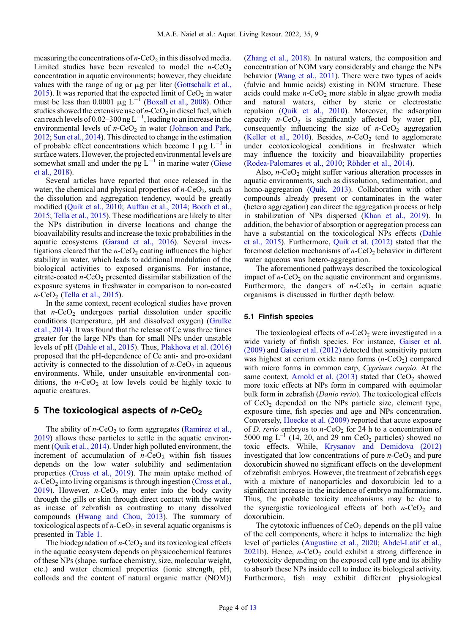measuring the concentrations of  $n$ -CeO<sub>2</sub> in this dissolved media. Limited studies have been revealed to model the  $n$ -CeO<sub>2</sub> concentration in aquatic environments; however, they elucidate values with the range of ng or  $\mu$ g per liter ([Gottschalk et al.,](#page-10-0) [2015](#page-10-0)). It was reported that the expected limit of  $CeO<sub>2</sub>$  in water must be less than 0.0001  $\mu$ g L<sup>-1</sup> [\(Boxall et al., 2008](#page-9-0)). Other studies showed the extensive use of  $n$ -CeO<sub>2</sub> in diesel fuel, which can reach levels of 0.02–300 ng L<sup>-1</sup>, leading to an increase in the environmental levels of  $n$ -CeO<sub>2</sub> in water [\(Johnson and Park,](#page-10-0) [2012](#page-10-0); [Sun et al., 2014](#page-12-0)). This directed to change in the estimation of probable effect concentrations which become 1  $\mu$ g L<sup>-1</sup> in surface waters. However, the projected environmental levels are somewhat small and under the pg  $L^{-1}$  in marine water [\(Giese](#page-10-0) [et al., 2018\)](#page-10-0).

Several articles have reported that once released in the water, the chemical and physical properties of  $n$ -CeO<sub>2</sub>, such as the dissolution and aggregation tendency, would be greatly modified [\(Quik et al., 2010](#page-11-0); [Auffan et al., 2014](#page-9-0); [Booth et al.,](#page-9-0) [2015](#page-9-0); [Tella et al., 2015\)](#page-12-0). These modifications are likely to alter the NPs distribution in diverse locations and change the bioavailability results and increase the toxic probabilities in the aquatic ecosystems ([Garaud et al., 2016](#page-10-0)). Several investigations cleared that the  $n$ -CeO<sub>2</sub> coating influences the higher stability in water, which leads to additional modulation of the biological activities to exposed organisms. For instance, citrate-coated  $n$ -CeO<sub>2</sub> presented dissimilar stabilization of the exposure systems in freshwater in comparison to non-coated  $n$ -CeO<sub>2</sub> [\(Tella et al., 2015\)](#page-12-0).

In the same context, recent ecological studies have proven that  $n$ -CeO<sub>2</sub> undergoes partial dissolution under specific conditions (temperature, pH and dissolved oxygen) [\(Grulke](#page-10-0) [et al., 2014\)](#page-10-0). It was found that the release of Ce was three times greater for the large NPs than for small NPs under unstable levels of pH [\(Dahle et al., 2015](#page-9-0)). Thus, [Plakhova et al. \(2016\)](#page-11-0) proposed that the pH-dependence of Ce anti- and pro-oxidant activity is connected to the dissolution of  $n$ -CeO<sub>2</sub> in aqueous environments. While, under unsuitable environmental conditions, the  $n$ -CeO<sub>2</sub> at low levels could be highly toxic to aquatic creatures.

## 5 The toxicological aspects of  $n$ -CeO<sub>2</sub>

The ability of  $n$ -CeO<sub>2</sub> to form aggregates ([Ramirez et al.,](#page-11-0) [2019](#page-11-0)) allows these particles to settle in the aquatic environment ([Quik et al., 2014](#page-11-0)). Under high polluted environment, the increment of accumulation of  $n$ -CeO<sub>2</sub> within fish tissues depends on the low water solubility and sedimentation properties ([Cross et al., 2019\)](#page-9-0). The main uptake method of  $n$ -CeO<sub>2</sub> into living organisms is through ingestion ([Cross et al.,](#page-9-0) [2019](#page-9-0)). However,  $n$ -CeO<sub>2</sub> may enter into the body cavity through the gills or skin through direct contact with the water as incase of zebrafish as contrasting to many dissolved compounds [\(Hwang and Chou, 2013](#page-10-0)). The summary of toxicological aspects of  $n$ -CeO<sub>2</sub> in several aquatic organisms is presented in [Table 1](#page-4-0).

The biodegradation of  $n$ -CeO<sub>2</sub> and its toxicological effects in the aquatic ecosystem depends on physicochemical features of these NPs (shape, surface chemistry, size, molecular weight, etc.) and water chemical properties (ionic strength, pH, colloids and the content of natural organic matter (NOM))

([Zhang et al., 2018\)](#page-12-0). In natural waters, the composition and concentration of NOM vary considerably and change the NPs behavior ([Wang et al., 2011](#page-12-0)). There were two types of acids (fulvic and humic acids) existing in NOM structure. These acids could make  $n$ -CeO<sub>2</sub> more stable in algae growth media and natural waters, either by steric or electrostatic repulsion [\(Quik et al., 2010](#page-11-0)). Moreover, the adsorption capacity  $n$ -CeO<sub>2</sub> is significantly affected by water pH, consequently influencing the size of  $n$ -CeO<sub>2</sub> aggregation ([Keller et al., 2010](#page-10-0)). Besides,  $n$ -CeO<sub>2</sub> tend to agglomerate under ecotoxicological conditions in freshwater which may influence the toxicity and bioavailability properties ([Rodea-Palomares et al., 2010](#page-11-0); [Röhder et al., 2014\)](#page-11-0).

Also,  $n$ -CeO<sub>2</sub> might suffer various alteration processes in aquatic environments, such as dissolution, sedimentation, and homo-aggregation ([Quik, 2013](#page-11-0)). Collaboration with other compounds already present or contaminates in the water (hetero aggregation) can direct the aggregation process or help in stabilization of NPs dispersed ([Khan et al., 2019](#page-10-0)). In addition, the behavior of absorption or aggregation process can have a substantial on the toxicological NPs effects ([Dahle](#page-9-0) [et al., 2015\)](#page-9-0). Furthermore, [Quik et al. \(2012\)](#page-11-0) stated that the foremost deletion mechanisms of  $n$ -CeO<sub>2</sub> behavior in different water aqueous was hetero-aggregation.

The aforementioned pathways described the toxicological impact of  $n$ -CeO<sub>2</sub> on the aquatic environment and organisms. Furthermore, the dangers of  $n$ -CeO<sub>2</sub> in certain aquatic organisms is discussed in further depth below.

### 5.1 Finfish species

The toxicological effects of  $n$ -CeO<sub>2</sub> were investigated in a wide variety of finfish species. For instance, [Gaiser et al.](#page-10-0) [\(2009\)](#page-10-0) and [Gaiser et al. \(2012\)](#page-10-0) detected that sensitivity pattern was highest at cerium oxide nano forms  $(n$ -CeO<sub>2</sub>) compared with micro forms in common carp, Cyprinus carpio. At the same context, Arnold et al.  $(2013)$  stated that  $CeO<sub>2</sub>$  showed more toxic effects at NPs form in compared with equimolar bulk form in zebrafish (Danio rerio). The toxicological effects of  $CeO<sub>2</sub>$  depended on the NPs particle size, element type, exposure time, fish species and age and NPs concentration. Conversely, [Hoecke et al. \(2009\)](#page-10-0) reported that acute exposure of D. rerio embryos to  $n$ -CeO<sub>2</sub> for 24 h to a concentration of 5000 mg  $L^{-1}$  (14, 20, and 29 nm CeO<sub>2</sub> particles) showed no toxic effects. While, [Krysanov and Demidova \(2012\)](#page-10-0) investigated that low concentrations of pure  $n$ -CeO<sub>2</sub> and pure doxorubicin showed no significant effects on the development of zebrafish embryos. However, the treatment of zebrafish eggs with a mixture of nanoparticles and doxorubicin led to a significant increase in the incidence of embryo malformations. Thus, the probable toxicity mechanisms may be due to the synergistic toxicological effects of both  $n$ -CeO<sub>2</sub> and doxorubicin.

The cytotoxic influences of  $CeO<sub>2</sub>$  depends on the pH value of the cell components, where it helps to internalize the high level of particles [\(Augustine et al., 2020;](#page-9-0) [Abdel-Latif et al.,](#page-8-0)  $2021b$  $2021b$ ). Hence, *n*-CeO<sub>2</sub> could exhibit a strong difference in cytotoxicity depending on the exposed cell type and its ability to absorb these NPs inside cell to induce its biological activity. Furthermore, fish may exhibit different physiological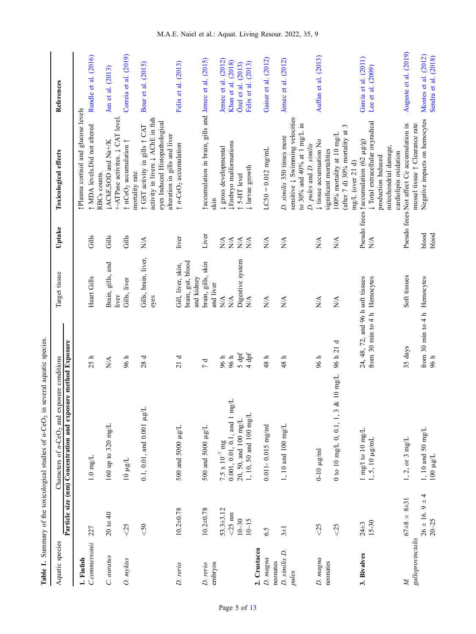<span id="page-4-0"></span>

|                        |                                  | Table 1. Summary of the toxicological studies of $n$ -CeO <sub>2</sub> in several aquatic species                            |                                                                   |                                                       |                                   |                                                                                                                                    |                                              |
|------------------------|----------------------------------|------------------------------------------------------------------------------------------------------------------------------|-------------------------------------------------------------------|-------------------------------------------------------|-----------------------------------|------------------------------------------------------------------------------------------------------------------------------------|----------------------------------------------|
| Aquatic species        |                                  | Particle size (nm) Concentration and exposure method Exposure<br>Characters of $n$ -CeO <sub>2</sub> and exposure conditions |                                                                   | Target tissue                                         | Uptake                            | Toxicological effects                                                                                                              | References                                   |
| 1. Finfish             |                                  |                                                                                                                              |                                                                   |                                                       |                                   | Plasma cortisol and glucose levels                                                                                                 |                                              |
| C.commersonii          | 227                              | $1.0 \text{ mg/L}$                                                                                                           | 25 h                                                              | Heart Gills                                           | Gills                             | ↑ MDA levels.Did not altered                                                                                                       | Rundle et al. (2016)                         |
| C. auratus             | 20 to 40                         | $160$ up to 320 mg/L                                                                                                         | N/A                                                               | Brain, gills, and                                     | Gills                             | IAChE, SOD and Na+/K<br>RBCs counts.                                                                                               | Jun et al. (2013)                            |
|                        |                                  |                                                                                                                              |                                                                   | liver                                                 |                                   | +-ATPase activites. J CAT level.                                                                                                   |                                              |
| O. mykiss              | < 25                             | $10 \mu g/L$                                                                                                                 | 96 h                                                              | Gills, liver                                          | Gills                             | $\uparrow$ nCeO <sub>2</sub> accumulation $\uparrow$<br>mortality rate                                                             | Correia et al. (2019)                        |
|                        | $<\!50$                          | $0.1, 0.01,$ and $0.001 \mu g$ ]                                                                                             | 28d                                                               | Gills, brain, liver,<br>eyes                          | $\mathop{\rm NA}\nolimits$        | activity in livers $\downarrow$ AChE in fish<br>eyes Induced Histopathological<br>↑ GST activity in gills ↑ CAT                    | Bour et al. (2015)                           |
| D. rerio               | $10.2 + 0.78$                    | 500 and 5000 µg/L                                                                                                            | 21d                                                               | brain, gut, blood<br>Gill, liver, skin,<br>and kidney | liver                             | alteration in gills and liver<br>$\uparrow$ n-CeO <sub>2</sub> accumulation                                                        | Felix et al. (2013)                          |
| embryos<br>D. rerio    | $10.2 + 0.78$                    | 500 and 5000 µg/L                                                                                                            | 7d                                                                | brain, gills, skin<br>and liver                       | Liver                             | (2015) [accumulation in brain, gills and Jernec et al. (2015)<br>skin                                                              |                                              |
|                        | $53.3 + 3.12$                    | 7.5 x $10^{-7}$ mg                                                                                                           | 96 h                                                              | $\mathbb{N}\mathbb{A}$                                | N/A                               | ↓ gross developmental                                                                                                              | Jemec et al. $(2012)$                        |
|                        | $<25 \text{ nm}$                 | L<br>B<br>$0.001, 0.01, 0.1,$ and 1 m                                                                                        | 96 h                                                              | $\stackrel{\blacktriangle}{\geq}$                     | $\sum_{i=1}^{n}$                  | <b>LEmbryo malformations</b>                                                                                                       | Khan et al. (2018)                           |
|                        | $10 - 30$                        | 20, 50, and 100 mg/L                                                                                                         | $5$ dpf                                                           | Digestive system                                      | $\mathop{\rm N}\nolimits$         | 15-HT level                                                                                                                        | Özel et al. (2013)                           |
|                        | $10 - 15$                        | 1, 10, 50 and 100 mg/L                                                                                                       | 4 dpf                                                             | N/A                                                   | N/A                               | U larvae growth                                                                                                                    | Felix et al. (2013)                          |
| 2. Crustacea           |                                  |                                                                                                                              |                                                                   |                                                       |                                   |                                                                                                                                    |                                              |
| D. magna<br>neonates   | 6.5                              | $0.011 - 0.015$ mg/ml                                                                                                        | $48~h$                                                            | N/A                                                   | $N\!A$                            | $LC50 = 0.012$ mg/mL                                                                                                               | Gaiser et al. (2012)                         |
| D. similis D.<br>pulex | $3\pm1$                          | 1, 10 and 100 mg/L                                                                                                           | $48~\mathrm{h}$                                                   | $\mathbf{N}\mathbf{A}$                                | $\mathbf{N}\mathbf{A}$            | sensitive $\downarrow$ Swimming velocities<br>to 30% and 40% at 1 mg/L in<br>D. similis 350 times more<br>D. pulex and D. similis  | Jemec et al. (2012)                          |
| D. magna<br>neonates   | < 25                             | $0-10$ $\mu$ g/ml                                                                                                            | 96 h                                                              | $\mathbb{N}\mathbb{A}$                                | $\sum_{i=1}^{n}$                  | ↓ tissue accumuation No<br>significant mortalities                                                                                 | Auffan et al. (2013)                         |
|                        | $<25$                            | $\&$ 10 mg/L<br>0 to 10 mg/L 0, 0.1, 1, 3                                                                                    | 96 h 21 d                                                         | $\mathop{\rm N}\nolimits$                             | $\stackrel{\blacktriangle}{\geq}$ | 3<br>(after 7 d) 30% mortality at<br>100% mortality at 10 mg/L<br>mg/L (over 21 d)                                                 |                                              |
| 3. Bivalves            | $15 - 30$<br>$24 \pm 3$          | 1 mg/l to 10 mg/L<br>$1, 5, 10 \mu g/mL$                                                                                     | 24, 48, 72, and 96 h soft tissues<br>from 30 min to 4 h Hemocytes |                                                       | $\sum_{i=1}^{n}$                  | $\downarrow$ Total extracellular oxyradical<br>Pseudo feces faccumulation (62 µg/g)<br>mitochondrial damage,<br>production Induced | García et al. (2011)<br>Lee et al. (2009)    |
| Z.                     | $67\pm8\times8\pm31$             | 1, 2, or 3 mg/L                                                                                                              | 35 days                                                           | Soft tissues                                          |                                   | Pseudo feces Not affect Ce accumulation in<br>cardiolipin oxidation                                                                | Auguste et al. (2019)                        |
| galloprovincialis      | $26 \pm 16.9 \pm 4$<br>$20 - 25$ | 1, 10 and 50 mg/L<br>$100 \mu g/L$                                                                                           | from 30 min to 4 h Hemocytes<br>96 h                              |                                                       | blood<br>$b$ lood                 | Negative impacts on hemocytes<br>mussel tissue ↑ Clearance rate                                                                    | Montes et al. (2012)<br>Sendra et al. (2018) |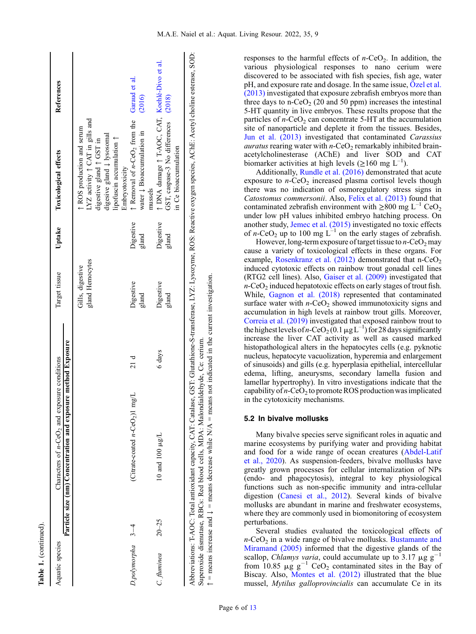| q       |
|---------|
| ŗ       |
| I       |
|         |
|         |
|         |
|         |
|         |
|         |
|         |
|         |
|         |
| ٠       |
| l.<br>4 |

| Aquatic species       |           | Particle size (nm) Concentration and exposure method Exposure<br>Characters of $n$ -CeO <sub>2</sub> and exposure conditions |        | Target tissue                       | Uptake             | References<br><b>Toxicological effects</b>                                                                                                                                                 |
|-----------------------|-----------|------------------------------------------------------------------------------------------------------------------------------|--------|-------------------------------------|--------------------|--------------------------------------------------------------------------------------------------------------------------------------------------------------------------------------------|
|                       |           |                                                                                                                              |        | gland Hemocytes<br>Gills, digestive |                    | LYZ activity $\uparrow$ CAT in gills and<br>↑ ROS production and serum<br>digesive gland $\downarrow$ lysosomal<br>lipofuscin accumulation 1<br>digestive gland ↑ GST in<br>Embryotoxicity |
| $D$ .polymorpha $3-4$ |           | mg/L<br>$(Cirtate-coated n-CeO2)1$                                                                                           | 21d    | Digestive<br>gland                  | Digestive<br>gland | $\uparrow$ Removal of <i>n</i> -CeO <sub>2</sub> from the Garaud et al.<br>(2016)<br>water $\downarrow$ Bioaccumulation in<br>mussels                                                      |
| $C$ . fluminea        | $20 - 25$ | 10 and 100 $\mu$ g/L                                                                                                         | 6 days | Digestive<br>gland                  | Digestive<br>gland | DNA damage $\uparrow$ T-AOC, CAT, Kochlé-Divo et al.<br>GST, caspase-3 No differences (2018)<br>in Ce bioaccumulation                                                                      |
|                       |           |                                                                                                                              |        |                                     |                    | Abbreviations: T-AOC: Total antioxidant capacity, CAT: Catalase, GST: Glutathione-S-transferase, LYZ: Lysozyme, ROS: Reactive oxygen species, AChE: Acetyl choline esterase, SOD:          |

responses to the harmful effects of  $n$ -CeO<sub>2</sub>. In addition, the various physiological responses to nano cerium were discovered to be associated with fish species, fish age, water  $pH$ , and exposure rate and dosage. In the same issue,  $\ddot{O}$ zel et al. [\(2013\)](#page-11-0) investigated that exposure zebrafish embryos more than three days to n-CeO<sub>2</sub> (20 and 50 ppm) increases the intestinal 5-HT quantity in live embryos. These results propose that the particles of  $n$ -CeO<sub>2</sub> can concentrate 5-HT at the accumulation site of nanoparticle and deplete it from the tissues. Besides, [Jun et al. \(2013\)](#page-10-0) investigated that contaminated Carassius *auratus* rearing water with  $n$ -CeO<sub>2</sub> remarkably inhibited brainacetylcholinesterase (AChE) and liver SOD and CAT biomarker activities at high levels ( $\geq$ 160 mg L<sup>-1</sup>). Additionally, [Rundle et al. \(2016\)](#page-12-0) demonstrated that acute

exposure to  $n$ -CeO<sub>2</sub> increased plasma cortisol levels though there was no indication of osmoregulatory stress signs in Catostomus commersonii. Also, [Felix et al. \(2013\)](#page-9-0) found that contaminated zebrafish environment with  $\geq 800$  mg L<sup>-1</sup> CeO<sub>2</sub> under low pH values inhibited embryo hatching process. On another study, [Jemec et al. \(2015\)](#page-10-0) investigated no toxic effects of n-CeO<sub>2</sub> up to 100 mg  $L^{-1}$  on the early stages of zebrafish.

However, long-term exposure of target tissue to  $n$ -CeO<sub>2</sub> may cause a variety of toxicological effects in these organs. For example, Rosenkranz et al.  $(2012)$  demonstrated that n-CeO<sub>2</sub> induced cytotoxic effects on rainbow trout gonadal cell lines (RTG2 cell lines). Also, [Gaiser et al. \(2009\)](#page-10-0) investigated that  $n$ -CeO<sub>2</sub> induced hepatotoxic effects on early stages of trout fish. While, [Gagnon et al. \(2018\)](#page-10-0) represented that contaminated surface water with  $n$ -CeO<sub>2</sub> showed immunotoxicity signs and accumulation in high levels at rainbow trout gills. Moreover, [Correia et al. \(2019\)](#page-9-0) investigated that exposed rainbow trout to the highest levels of *n*-CeO<sub>2</sub>(0.1  $\mu$ g L<sup>-1</sup>) for 28 days significantly increase the liver CAT activity as well as caused marked histopathological alters in the hepatocytes cells (e.g. pyknotic nucleus, hepatocyte vacuolization, hyperemia and enlargement of sinusoids) and gills (e.g. hyperplasia epithelial, intercellular edema, lifting, aneurysms, secondary lamella fusion and lamellar hypertrophy). In vitro investigations indicate that the capability of  $n$ -CeO<sub>2</sub> to promote ROS production was implicated in the cytotoxicity mechanisms.

## 5.2 In bivalve mollusks

Many bivalve species serve significant roles in aquatic and marine ecosystems by purifying water and providing habitat and food for a wide range of ocean creatures ([Abdel-Latif](#page-8-0) [et al., 2020\)](#page-8-0). As suspension-feeders, bivalve mollusks have greatly grown processes for cellular internalization of NPs (endo- and phagocytosis), integral to key physiological functions such as non-specific immunity and intra-cellular digestion [\(Canesi et al., 2012\)](#page-9-0). Several kinds of bivalve mollusks are abundant in marine and freshwater ecosystems, where they are commonly used in biomonitoring of ecosystem perturbations.

Several studies evaluated the toxicological effects of  $n$ -CeO<sub>2</sub> in a wide range of bivalve mollusks. [Bustamante and](#page-9-0) [Miramand \(2005\)](#page-9-0) informed that the digestive glands of the scallop, *Chlamys varia*, could accumulate up to 3.17  $\mu$ g g<sup>-1</sup> from 10.85  $\mu$ g g<sup>-1</sup> CeO<sub>2</sub> contaminated sites in the Bay of Biscay. Also, [Montes et al. \(2012\)](#page-11-0) illustrated that the blue mussel, Mytilus galloprovincialis can accumulate Ce in its

Superoxide dismutase, RBCs: Red blood cells, MDA: Malondialdehyde, Ce: cerium.

Superoxide dismutase, RBCs: Red blood cells, MDA: Malondialdehyde, Ce: cerium.

 $\uparrow$  = means increase and  $\downarrow$  = means decrease while N/A = means not indicated in the current investigation.  $\uparrow$  = means increase and  $\downarrow$  = means decrease while N/A = means not indicated in the current investigation.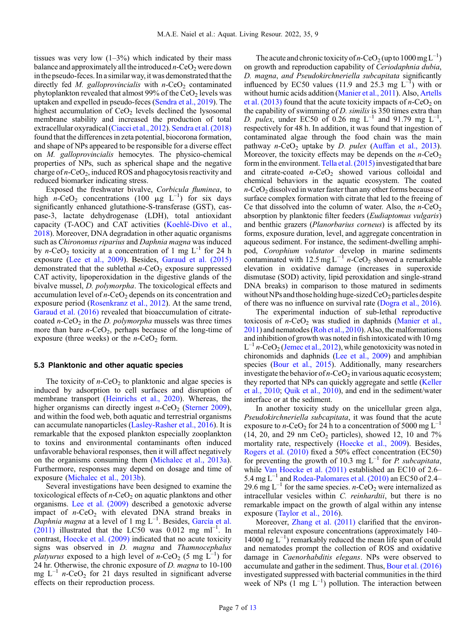tissues was very low  $(1-3\%)$  which indicated by their mass balance and approximately all the introduced  $n$ -CeO<sub>2</sub> were down in the pseudo-feces. In a similar way, it was demonstrated that the directly fed M. galloprovincialis with  $n$ -CeO<sub>2</sub> contaminated phytoplankton revealed that almost 99% of the  $CeO<sub>2</sub>$  levels was uptaken and expelled in pseudo-feces [\(Sendra et al., 2019\)](#page-12-0). The highest accumulation of  $CeO<sub>2</sub>$  levels declined the lysosomal membrane stability and increased the production of total extracellular oxyradical [\(Ciacci et al., 2012\)](#page-9-0). [Sendra et al. \(2018\)](#page-12-0) found that the differences in zeta potential, biocorona formation, and shape of NPs appeared to be responsible for a diverse effect on M. galloprovincialis hemocytes. The physico-chemical properties of NPs, such as spherical shape and the negative charge of  $n$ -CeO<sub>2</sub>, induced ROS and phagocytosis reactivity and reduced biomarker indicating stress.

Exposed the freshwater bivalve, Corbicula fluminea, to high  $n$ -CeO<sub>2</sub> concentrations (100 µg L<sup>-1</sup>) for six days significantly enhanced glutathione-S-transferase (GST), caspase-3, lactate dehydrogenase (LDH), total antioxidant capacity (T-AOC) and CAT activities ([Koehlé-Divo et al.,](#page-10-0) [2018](#page-10-0)). Moreover, DNA degradation in other aquatic organisms such as Chironomus riparius and Daphnia magna was induced by *n*-CeO<sub>2</sub> toxicity at a concentration of 1 mg  $L^{-1}$  for 24 h exposure [\(Lee et al., 2009\)](#page-10-0). Besides, [Garaud et al. \(2015\)](#page-10-0) demonstrated that the sublethal  $n$ -CeO<sub>2</sub> exposure suppressed CAT activity, lipoperoxidation in the digestive glands of the bivalve mussel, D. polymorpha. The toxicological effects and accumulation level of  $n$ -CeO<sub>2</sub> depends on its concentration and exposure period ([Rosenkranz et al., 2012](#page-12-0)). At the same trend, [Garaud et al. \(2016\)](#page-10-0) revealed that bioaccumulation of citratecoated  $n$ -CeO<sub>2</sub> in the *D. polymorpha* mussels was three times more than bare  $n$ -CeO<sub>2</sub>, perhaps because of the long-time of exposure (three weeks) or the  $n$ -CeO<sub>2</sub> form.

#### 5.3 Planktonic and other aquatic species

The toxicity of  $n$ -CeO<sub>2</sub> to planktonic and algae species is induced by adsorption to cell surfaces and disruption of membrane transport ([Heinrichs et al., 2020](#page-10-0)). Whereas, the higher organisms can directly ingest  $n$ -CeO<sub>2</sub> ([Sterner 2009](#page-12-0)), and within the food web, both aquatic and terrestrial organisms can accumulate nanoparticles [\(Lasley-Rasher et al., 2016](#page-10-0)). It is remarkable that the exposed plankton especially zooplankton to toxins and environmental contaminants often induced unfavorable behavioral responses, then it will affect negatively on the organisms consuming them ([Michalec et al., 2013a](#page-11-0)). Furthermore, responses may depend on dosage and time of exposure [\(Michalec et al., 2013b](#page-11-0)).

Several investigations have been designed to examine the toxicological effects of  $n$ -CeO<sub>2</sub> on aquatic planktons and other organisms. [Lee et al. \(2009\)](#page-10-0) described a genotoxic adverse impact of  $n$ -CeO<sub>2</sub> with elevated DNA strand breaks in Daphnia magna at a level of 1 mg  $L^{-1}$ . Besides, [García et al.](#page-10-0)  $(2011)$  illustrated that the LC50 was 0.012 mg ml<sup>-1</sup>. In contrast, [Hoecke et al. \(2009\)](#page-10-0) indicated that no acute toxicity signs was observed in D. magna and Thamnocephalus platyurus exposed to a high level of *n*-CeO<sub>2</sub> (5 mg  $L^{-1}$ ) for 24 hr. Otherwise, the chronic exposure of D. magna to 10-100 mg  $L^{-1}$  n-CeO<sub>2</sub> for 21 days resulted in significant adverse effects on their reproduction process.

The acute and chronic toxicity of n-CeO<sub>2</sub> (up to  $1000 \text{ mg L}^{-1}$ ) on growth and reproduction capability of Ceriodaphnia dubia, D. magna, and Pseudokirchneriella subcapitata significantly influenced by EC50 values (11.9 and  $25.\overline{3}$  mg  $L^{-1}$ ) with or without humic acids addition [\(Manier et al., 2011\)](#page-10-0). Also, [Artells](#page-8-0) [et al. \(2013\)](#page-8-0) found that the acute toxicity impacts of  $n$ -CeO<sub>2</sub> on the capability of swimming of D. similis is 350 times extra than D. pulex, under EC50 of 0.26 mg  $L^{-1}$  and 91.79 mg  $L^{-1}$ , respectively for 48 h. In addition, it was found that ingestion of contaminated algae through the food chain was the main pathway  $n$ -CeO<sub>2</sub> uptake by *D. pulex* ([Auffan et al., 2013](#page-8-0)). Moreover, the toxicity effects may be depends on the  $n$ -CeO<sub>2</sub> form in the environment. Tella et al.  $(2015)$  investigated that bare and citrate-coated  $n$ -CeO<sub>2</sub> showed various colloidal and chemical behaviors in the aquatic ecosystem. The coated  $n$ -CeO<sub>2</sub> dissolved in water faster than any other forms because of surface complex formation with citrate that led to the freeing of Ce that dissolved into the column of water. Also, the  $n$ -CeO<sub>2</sub> absorption by planktonic filter feeders (Eudiaptomus vulgaris) and benthic grazers (Planorbarius corneus) is affected by its forms, exposure duration, level, and aggregate concentration in aqueous sediment. For instance, the sediment-dwelling amphipod, Corophium volutator develop in marine sediments contaminated with  $12.5 \text{ mg L}^{-1}$  n-CeO<sub>2</sub> showed a remarkable elevation in oxidative damage (increases in superoxide dismutase (SOD) activity, lipid peroxidation and single-strand DNA breaks) in comparison to those matured in sediments without NPs and those holding huge-sized  $CeO<sub>2</sub>$  particles despite of there was no influence on survival rate ([Dogra et al., 2016](#page-9-0)).

The experimental induction of sub-lethal reproductive toxicosis of  $n$ -CeO<sub>2</sub> was studied in daphnids [\(Manier et al.,](#page-10-0) [2011\)](#page-10-0) and nematodes [\(Roh et al., 2010](#page-11-0)). Also, the malformations and inhibition of growth was notedin fishintoxicated with 10 mg  $L^{-1}$  n-CeO<sub>2</sub> [\(Jemec et al., 2012](#page-10-0)), while genotoxicity was noted in chironomids and daphnids ([Lee et al., 2009\)](#page-10-0) and amphibian species ([Bour et al., 2015\)](#page-9-0). Additionally, many researchers investigate the behavior of  $n$ -CeO<sub>2</sub> in various aquatic ecosystem; they reported that NPs can quickly aggregate and settle [\(Keller](#page-10-0) [et al., 2010](#page-10-0); [Quik et al., 2010\)](#page-11-0), and end in the sediment/water interface or at the sediment.

In another toxicity study on the unicellular green alga, Pseudokirchneriella subcapitata, it was found that the acute exposure to *n*-CeO<sub>2</sub> for 24 h to a concentration of 5000 mg  $L^{-1}$ (14, 20, and 29 nm  $CeO<sub>2</sub>$  particles), showed 12, 10 and 7% mortality rate, respectively ([Hoecke et al., 2009\)](#page-10-0). Besides, [Rogers et al. \(2010\)](#page-11-0) fixed a 50% effect concentration (EC50) for preventing the growth of 10.3 mg  $L^{-1}$  for *P. subcapitata*, while [Van Hoecke et al. \(2011\)](#page-12-0) established an EC10 of 2.6– 5.4 mg  $L^{-1}$  and [Rodea-Palomares et al. \(2010\)](#page-11-0) an EC50 of 2.4– 29.6 mg  $L^{-1}$  for the same species. *n*-CeO<sub>2</sub> were internalized as intracellular vesicles within C. reinhardtii, but there is no remarkable impact on the growth of algal within any intense exposure [\(Taylor et al., 2016](#page-12-0)).

Moreover, [Zhang et al. \(2011\)](#page-12-0) clarified that the environmental relevant exposure concentrations (approximately 140– 14000 ng  $L^{-1}$ ) remarkably reduced the mean life span of could and nematodes prompt the collection of ROS and oxidative damage in Caenorhabditis elegans. NPs were observed to accumulate and gather in the sediment. Thus, [Bour et al. \(2016\)](#page-9-0) investigated suppressed with bacterial communities in the third week of NPs  $(1 \text{ mg } L^{-1})$  pollution. The interaction between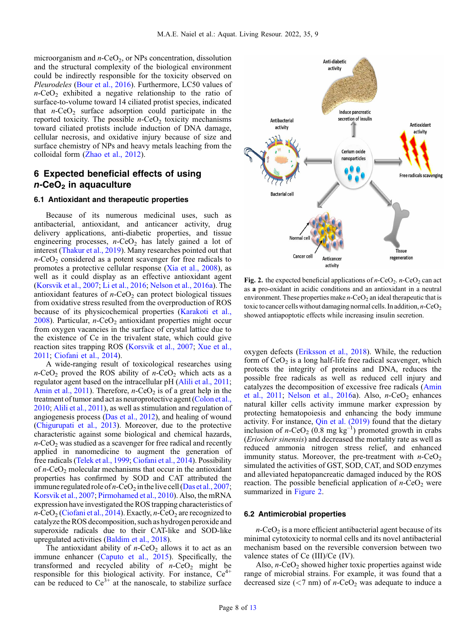microorganism and  $n$ -CeO<sub>2</sub>, or NPs concentration, dissolution and the structural complexity of the biological environment could be indirectly responsible for the toxicity observed on Pleurodeles [\(Bour et al., 2016\)](#page-9-0). Furthermore, LC50 values of  $n$ -CeO<sub>2</sub> exhibited a negative relationship to the ratio of surface-to-volume toward 14 ciliated protist species, indicated that  $n$ -CeO<sub>2</sub> surface adsorption could participate in the reported toxicity. The possible  $n$ -CeO<sub>2</sub> toxicity mechanisms toward ciliated protists include induction of DNA damage, cellular necrosis, and oxidative injury because of size and surface chemistry of NPs and heavy metals leaching from the colloidal form ([Zhao et al., 2012](#page-12-0)).

# 6 Expected beneficial effects of using  $n$ -CeO<sub>2</sub> in aquaculture

### 6.1 Antioxidant and therapeutic properties

Because of its numerous medicinal uses, such as antibacterial, antioxidant, and anticancer activity, drug delivery applications, anti-diabetic properties, and tissue engineering processes,  $n$ -CeO<sub>2</sub> has lately gained a lot of interest [\(Thakur et al., 2019](#page-12-0)). Many researches pointed out that  $n$ -CeO<sub>2</sub> considered as a potent scavenger for free radicals to promotes a protective cellular response ([Xia et al., 2008](#page-12-0)), as well as it could display as an effective antioxidant agent ([Korsvik et al., 2007;](#page-10-0) [Li et al., 2016](#page-10-0); [Nelson et al., 2016a](#page-11-0)). The antioxidant features of  $n$ -CeO<sub>2</sub> can protect biological tissues from oxidative stress resulted from the overproduction of ROS because of its physicochemical properties ([Karakoti et al.,](#page-10-0) [2008](#page-10-0)). Particular,  $n$ -CeO<sub>2</sub> antioxidant properties might occur from oxygen vacancies in the surface of crystal lattice due to the existence of Ce in the trivalent state, which could give reaction sites trapping ROS ([Korsvik et al., 2007;](#page-10-0) [Xue et al.,](#page-12-0) [2011](#page-12-0); [Ciofani et al., 2014](#page-9-0)).

A wide-ranging result of toxicological researches using  $n$ -CeO<sub>2</sub> proved the ROS ability of  $n$ -CeO<sub>2</sub> which acts as a regulator agent based on the intracellular pH [\(Alili et al., 2011](#page-8-0); Amin et al.,  $2011$ ). Therefore, *n*-CeO<sub>2</sub> is of a great help in the treatment of tumor and act as neuroprotective agent ([Colon et al.,](#page-9-0) [2010](#page-9-0); [Alili et al., 2011\)](#page-8-0), as well as stimulation and regulation of angiogenesis process ([Das et al., 2012](#page-9-0)), and healing of wound ([Chigurupati et al., 2013\)](#page-9-0). Moreover, due to the protective characteristic against some biological and chemical hazards,  $n$ -CeO<sub>2</sub> was studied as a scavenger for free radical and recently applied in nanomedicine to augment the generation of free radicals [\(Telek et al., 1999;](#page-12-0) [Ciofani et al., 2014\)](#page-9-0). Possibility of  $n$ -CeO<sub>2</sub> molecular mechanisms that occur in the antioxidant properties has confirmed by SOD and CAT attributed the immune regulated role of  $n$ -CeO<sub>2</sub> in the live cell ([Das et al., 2007](#page-9-0); [Korsvik et al., 2007](#page-10-0); [Pirmohamed et al., 2010](#page-11-0)). Also, the mRNA expression have investigated the ROS trapping characteristics of  $n$ -CeO<sub>2</sub> [\(Ciofani et al., 2014\)](#page-9-0). Exactly,  $n$ -CeO<sub>2</sub> are recognized to catalyzethe ROS decomposition, such as hydrogen peroxide and superoxide radicals due to their CAT-like and SOD-like upregulated activities [\(Baldim et al., 2018](#page-9-0)).

The antioxidant ability of  $n$ -CeO<sub>2</sub> allows it to act as an immune enhancer [\(Caputo et al., 2015](#page-9-0)). Specifically, the transformed and recycled ability of  $n$ -CeO<sub>2</sub> might be responsible for this biological activity. For instance,  $Ce<sup>4+</sup>$ can be reduced to  $Ce^{3+}$  at the nanoscale, to stabilize surface



**Fig. 2.** the expected beneficial applications of  $n$ -CeO<sub>2</sub>.  $n$ -CeO<sub>2</sub> can act as a pro-oxidant in acidic conditions and an antioxidant in a neutral environment. These properties make  $n$ -CeO<sub>2</sub> an ideal therapeutic that is toxic to cancer cells without damaging normal cells. In addition,  $n$ -CeO<sub>2</sub> showed antiapoptotic effects while increasing insulin secretion.

oxygen defects ([Eriksson et al., 2018](#page-9-0)). While, the reduction form of  $CeO<sub>2</sub>$  is a long half-life free radical scavenger, which protects the integrity of proteins and DNA, reduces the possible free radicals as well as reduced cell injury and catalyzes the decomposition of excessive free radicals [\(Amin](#page-8-0) [et al., 2011](#page-8-0); [Nelson et al., 2016](#page-11-0)a). Also,  $n$ -CeO<sub>2</sub> enhances natural killer cells activity immune marker expression by protecting hematopoiesis and enhancing the body immune activity. For instance, [Qin et al. \(2019\)](#page-11-0) found that the dietary inclusion of  $n$ -CeO<sub>2</sub> (0.8 mg kg<sup>-1</sup>) promoted growth in crabs (Eriocheir sinensis) and decreased the mortality rate as well as reduced ammonia nitrogen stress relief, and enhanced immunity status. Moreover, the pre-treatment with  $n$ -CeO<sub>2</sub> simulated the activities of GST, SOD, CAT, and SOD enzymes and alleviated hepatopancreatic damaged induced by the ROS reaction. The possible beneficial application of  $n$ -CeO<sub>2</sub> were summarized in Figure 2.

# 6.2 Antimicrobial properties

 $n$ -CeO<sub>2</sub> is a more efficient antibacterial agent because of its minimal cytotoxicity to normal cells and its novel antibacterial mechanism based on the reversible conversion between two valence states of Ce (III)/Ce (IV).

Also,  $n$ -CeO<sub>2</sub> showed higher toxic properties against wide range of microbial strains. For example, it was found that a decreased size ( $\langle 7 \text{ nm} \rangle$  of *n*-CeO<sub>2</sub> was adequate to induce a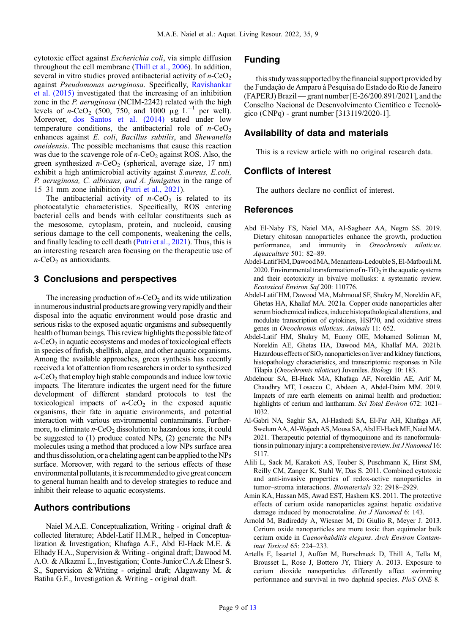<span id="page-8-0"></span>cytotoxic effect against Escherichia coli, via simple diffusion throughout the cell membrane ([Thill et al., 2006](#page-12-0)). In addition, several in vitro studies proved antibacterial activity of  $n$ -CeO<sub>2</sub> against Pseudomonas aeruginosa. Specifically, [Ravishankar](#page-11-0) [et al. \(2015\)](#page-11-0) investigated that the increasing of an inhibition zone in the P. aeruginosa (NCIM-2242) related with the high levels of *n*-CeO<sub>2</sub> (500, 750, and 1000  $\mu$ g L<sup>-1</sup> per well). Moreover, [dos Santos et al. \(2014\)](#page-9-0) stated under low temperature conditions, the antibacterial role of  $n$ -CeO<sub>2</sub> enhances against E. coli, Bacillus subtilis, and Shewanella oneidensis. The possible mechanisms that cause this reaction was due to the scavenge role of  $n$ -CeO<sub>2</sub> against ROS. Also, the green synthesized  $n$ -CeO<sub>2</sub> (spherical, average size, 17 nm) exhibit a high antimicrobial activity against S.aureus, E.coli, P. aeruginosa, C. albicans, and A. fumigatus in the range of 15–31 mm zone inhibition [\(Putri et al., 2021\)](#page-11-0).

The antibacterial activity of  $n$ -CeO<sub>2</sub> is related to its photocatalytic characteristics. Specifically, ROS entering bacterial cells and bends with cellular constituents such as the mesosome, cytoplasm, protein, and nucleoid, causing serious damage to the cell components, weakening the cells, and finally leading to cell death [\(Putri et al., 2021\)](#page-11-0). Thus, this is an interesting research area focusing on the therapeutic use of  $n$ -CeO<sub>2</sub> as antioxidants.

# 3 Conclusions and perspectives

The increasing production of  $n$ -CeO<sub>2</sub> and its wide utilization in numerous industrial products are growing very rapidly and their disposal into the aquatic environment would pose drastic and serious risks to the exposed aquatic organisms and subsequently health of human beings. This review highlights the possible fate of  $n$ -CeO<sub>2</sub> in aquatic ecosystems and modes of toxicological effects in species of finfish, shellfish, algae, and other aquatic organisms. Among the available approaches, green synthesis has recently received a lot of attention from researchers in order to synthesized  $n$ -CeO<sub>2</sub> that employ high stable compounds and induce low toxic impacts. The literature indicates the urgent need for the future development of different standard protocols to test the toxicological impacts of  $n$ -CeO<sub>2</sub> in the exposed aquatic organisms, their fate in aquatic environments, and potential interaction with various environmental contaminants. Furthermore, to eliminate  $n$ -CeO<sub>2</sub> dissolution to hazardous ions, it could be suggested to (1) produce coated NPs, (2) generate the NPs molecules using a method that produced a low NPs surface area and thus dissolution, or a chelating agent can be applied to the NPs surface. Moreover, with regard to the serious effects of these environmental pollutants, it is recommended to give great concern to general human health and to develop strategies to reduce and inhibit their release to aquatic ecosystems.

# Authors contributions

Naiel M.A.E. Conceptualization, Writing - original draft & collected literature; Abdel-Latif H.M.R., helped in Conceptualization & Investigation; Khafaga A.F., Abd El-Hack M.E. & Elhady H.A., Supervision & Writing - original draft; Dawood M. A.O. & Alkazmi L., Investigation; Conte-Junior C.A.& Elnesr S. S., Supervision &Writing - original draft; Alagawany M. & Batiha G.E., Investigation & Writing - original draft.

# Funding

this study was supported by the financial support provided by the Fundação de Amparo à Pesquisa do Estado do Rio de Janeiro (FAPERJ) Brazil—grant number [E-26/200.891/2021], and the Conselho Nacional de Desenvolvimento Científico e Tecnológico (CNPq) - grant number [313119/2020-1].

## Availability of data and materials

This is a review article with no original research data.

# Conflicts of interest

The authors declare no conflict of interest.

### References

- Abd El-Naby FS, Naiel MA, Al-Sagheer AA, Negm SS. 2019. Dietary chitosan nanoparticles enhance the growth, production performance, and immunity in Oreochromis niloticus. Aquaculture 501: 82–89.
- Abdel-Latif HM,DawoodMA,Menanteau-Ledouble S,El-MatbouliM. 2020. Environmental transformation of n-TiO<sub>2</sub> in the aquatic systems and their ecotoxicity in bivalve mollusks: a systematic review. Ecotoxicol Environ Saf 200: 110776.
- Abdel-Latif HM, Dawood MA, Mahmoud SF, Shukry M, Noreldin AE, Ghetas HA, Khallaf MA. 2021a. Copper oxide nanoparticles alter serum biochemical indices, induce histopathological alterations, and modulate transcription of cytokines, HSP70, and oxidative stress genes in Oreochromis niloticus. Animals 11: 652.
- Abdel-Latif HM, Shukry M, Euony OIE, Mohamed Soliman M, Noreldin AE, Ghetas HA, Dawood MA, Khallaf MA. 2021b. Hazardous effects of  $SiO<sub>2</sub>$  nanoparticles on liver and kidney functions, histopathology characteristics, and transcriptomic responses in Nile Tilapia (Oreochromis niloticus) Juveniles. Biology 10: 183.
- Abdelnour SA, El-Hack MA, Khafaga AF, Noreldin AE, Arif M, Chaudhry MT, Losacco C, Abdeen A, Abdel-Daim MM. 2019. Impacts of rare earth elements on animal health and production: highlights of cerium and lanthanum. Sci Total Environ 672: 1021-1032.
- Al-Gabri NA, Saghir SA, Al-Hashedi SA, El-Far AH, Khafaga AF, Swelum AA, Al-Wajeeh AS, Mousa SA, Abd El-Hack ME, Naiel MA. 2021. Therapeutic potential of thymoquinone and its nanoformulations in pulmonary injury: a comprehensive review. Int J Nanomed 16: 5117.
- Alili L, Sack M, Karakoti AS, Teuber S, Puschmann K, Hirst SM, Reilly CM, Zanger K, Stahl W, Das S. 2011. Combined cytotoxic and anti-invasive properties of redox-active nanoparticles in tumor–stroma interactions. Biomaterials 32: 2918–2929.
- Amin KA, Hassan MS, Awad EST, Hashem KS. 2011. The protective effects of cerium oxide nanoparticles against hepatic oxidative damage induced by monocrotaline. Int J Nanomed 6: 143.
- Arnold M, Badireddy A, Wiesner M, Di Giulio R, Meyer J. 2013. Cerium oxide nanoparticles are more toxic than equimolar bulk cerium oxide in Caenorhabditis elegans. Arch Environ Contaminat Toxicol 65: 224–233.
- Artells E, Issartel J, Auffan M, Borschneck D, Thill A, Tella M, Brousset L, Rose J, Bottero JY, Thiery A. 2013. Exposure to cerium dioxide nanoparticles differently affect swimming performance and survival in two daphnid species. PloS ONE 8.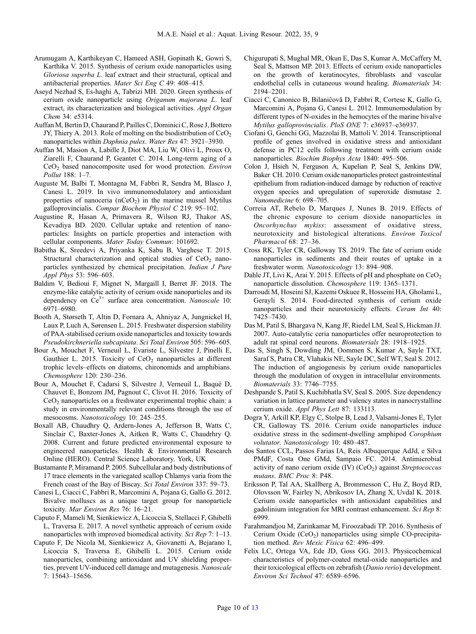- <span id="page-9-0"></span>Arumugam A, Karthikeyan C, Hameed ASH, Gopinath K, Gowri S, Karthika V. 2015. Synthesis of cerium oxide nanoparticles using Gloriosa superba L. leaf extract and their structural, optical and antibacterial properties. Mater Sci Eng C 49: 408–415.
- Aseyd Nezhad S, Es‐haghi A, Tabrizi MH. 2020. Green synthesis of cerium oxide nanoparticle using Origanum majorana L. leaf extract, its characterization and biological activities. Appl Organ Chem 34: e5314.
- Auffan M, Bertin D, Chaurand P, Pailles C, Dominici C, Rose J, Bottero JY, Thiery A. 2013. Role of molting on the biodistribution of  $CeO<sub>2</sub>$ nanoparticles within Daphnia pulex. Water Res 47: 3921–3930.
- Auffan M, Masion A, Labille J, Diot MA, Liu W, Olivi L, Proux O, Ziarelli F, Chaurand P, Geantet C. 2014. Long-term aging of a CeO<sub>2</sub> based nanocomposite used for wood protection. Environ Pollut 188: 1–7.
- Auguste M, Balbi T, Montagna M, Fabbri R, Sendra M, Blasco J, Canesi L. 2019. In vivo immunomodulatory and antioxidant properties of nanoceria  $(nCeO<sub>2</sub>)$  in the marine mussel Mytilus galloprovincialis. Compar Biochem Physiol C 219: 95–102.
- Augustine R, Hasan A, Primavera R, Wilson RJ, Thakor AS, Kevadiya BD. 2020. Cellular uptake and retention of nanoparticles: Insights on particle properties and interaction with cellular components. Mater Today Commun: 101692.
- Babitha K, Sreedevi A, Priyanka K, Sabu B, Varghese T. 2015. Structural characterization and optical studies of  $CeO<sub>2</sub>$  nanoparticles synthesized by chemical precipitation. Indian J Pure Appl Phys 53: 596–603.
- Baldim V, Bedioui F, Mignet N, Margaill I, Berret JF. 2018. The enzyme-like catalytic activity of cerium oxide nanoparticles and its dependency on Ce<sup>3+</sup> surface area concentration. Nanoscale 10: 6971–6980.
- Booth A, Størseth T, Altin D, Fornara A, Ahniyaz A, Jungnickel H, Laux P, Luch A, Sørensen L. 2015. Freshwater dispersion stability of PAA-stabilised cerium oxide nanoparticles and toxicity towards Pseudokirchneriella subcapitata. Sci Total Environ 505: 596–605.
- Bour A, Mouchet F, Verneuil L, Evariste L, Silvestre J, Pinelli E, Gauthier L. 2015. Toxicity of  $CeO<sub>2</sub>$  nanoparticles at different trophic levels–effects on diatoms, chironomids and amphibians. Chemosphere 120: 230–236.
- Bour A, Mouchet F, Cadarsi S, Silvestre J, Verneuil L, Baqué D, Chauvet E, Bonzom JM, Pagnout C, Clivot H. 2016. Toxicity of  $CeO<sub>2</sub>$  nanoparticles on a freshwater experimental trophic chain: a study in environmentally relevant conditions through the use of mesocosms. Nanotoxicology 10: 245–255.
- Boxall AB, Chaudhry Q, Ardern-Jones A, Jefferson B, Watts C, Sinclair C, Baxter-Jones A, Aitken R, Watts C, Chaudrhry Q. 2008. Current and future predicted environmental exposure to engineered nanoparticles. Health & Environmental Research Online (HERO). Central Science Laboratory. York, UK
- Bustamante P, Miramand P. 2005. Subcellular and body distributions of 17 trace elements in the variegated scallop Chlamys varia from the French coast of the Bay of Biscay. Sci Total Environ 337: 59–73.
- Canesi L, Ciacci C, Fabbri R, Marcomini A, Pojana G, Gallo G. 2012. Bivalve molluscs as a unique target group for nanoparticle toxicity. Mar Environ Res 76: 16–21.
- Caputo F, Mameli M, Sienkiewicz A, Licoccia S, Stellacci F, Ghibelli L, Traversa E. 2017. A novel synthetic approach of cerium oxide nanoparticles with improved biomedical activity. Sci Rep 7: 1–13.
- Caputo F, De Nicola M, Sienkiewicz A, Giovanetti A, Bejarano I, Licoccia S, Traversa E, Ghibelli L. 2015. Cerium oxide nanoparticles, combining antioxidant and UV shielding properties, prevent UV-induced cell damage and mutagenesis. Nanoscale 7: 15643–15656.
- Chigurupati S, Mughal MR, Okun E, Das S, Kumar A, McCaffery M, Seal S, Mattson MP. 2013. Effects of cerium oxide nanoparticles on the growth of keratinocytes, fibroblasts and vascular endothelial cells in cutaneous wound healing. Biomaterials 34: 2194–2201.
- Ciacci C, Canonico B, Bilaniĉovă D, Fabbri R, Cortese K, Gallo G, Marcomini A, Pojana G, Canesi L. 2012. Immunomodulation by different types of N-oxides in the hemocytes of the marine bivalve Mytilus galloprovincialis. PloS ONE 7: e36937–e36937.
- Ciofani G, Genchi GG, Mazzolai B, Mattoli V. 2014. Transcriptional profile of genes involved in oxidative stress and antioxidant defense in PC12 cells following treatment with cerium oxide nanoparticles. Biochim Biophys Acta 1840: 495–506.
- Colon J, Hsieh N, Ferguson A, Kupelian P, Seal S, Jenkins DW, Baker CH. 2010. Cerium oxide nanoparticles protect gastrointestinal epithelium from radiation-induced damage by reduction of reactive oxygen species and upregulation of superoxide dismutase 2. Nanomedicine 6: 698–705.
- Correia AT, Rebelo D, Marques J, Nunes B. 2019. Effects of the chronic exposure to cerium dioxide nanoparticles in Oncorhynchus mykiss: assessment of oxidative stress, neurotoxicity and histological alterations. Environ Toxicol Pharmacol 68: 27–36.
- Cross RK, Tyler CR, Galloway TS. 2019. The fate of cerium oxide nanoparticles in sediments and their routes of uptake in a freshwater worm. Nanotoxicology 13: 894–908.
- Dahle JT, Livi K, Arai Y. 2015. Effects of pH and phosphate on  $CeO<sub>2</sub>$ nanoparticle dissolution. Chemosphere 119: 1365–1371.
- Darroudi M, Hoseini SJ, Kazemi Oskuee R, Hosseini HA, Gholami L, Gerayli S. 2014. Food-directed synthesis of cerium oxide nanoparticles and their neurotoxicity effects. Ceram Int 40: 7425–7430.
- Das M, Patil S, Bhargava N, Kang JF, Riedel LM, Seal S, Hickman JJ. 2007. Auto-catalytic ceria nanoparticles offer neuroprotection to adult rat spinal cord neurons. Biomaterials 28: 1918–1925.
- Das S, Singh S, Dowding JM, Oommen S, Kumar A, Sayle TXT, Saraf S, Patra CR, Vlahakis NE, Sayle DC, Self WT, Seal S. 2012. The induction of angiogenesis by cerium oxide nanoparticles through the modulation of oxygen in intracellular environments. Biomaterials 33: 7746–7755.
- Deshpande S, Patil S, Kuchibhatla SV, Seal S. 2005. Size dependency variation in lattice parameter and valency states in nanocrystalline cerium oxide. Appl Phys Lett 87: 133113.
- Dogra Y, Arkill KP, Elgy C, Stolpe B, Lead J, Valsami-Jones E, Tyler CR, Galloway TS. 2016. Cerium oxide nanoparticles induce oxidative stress in the sediment-dwelling amphipod Corophium volutator. Nanotoxicology 10: 480–487.
- dos Santos CCL, Passos Farias IA, Reis Albuquerque AdJd, e Silva PMdF, Costa One GMd, Sampaio FC. 2014. Antimicrobial activity of nano cerium oxide  $(IV)$   $(CeO<sub>2</sub>)$  against Streptococcus mutans. BMC Proc 8: P48.
- Eriksson P, Tal AA, Skallberg A, Brommesson C, Hu Z, Boyd RD, Olovsson W, Fairley N, Abrikosov IA, Zhang X, Uvdal K. 2018. Cerium oxide nanoparticles with antioxidant capabilities and gadolinium integration for MRI contrast enhancement. Sci Rep 8: 6999.
- Farahmandjou M, Zarinkamar M, Firoozabadi TP. 2016. Synthesis of Cerium Oxide  $(CeO<sub>2</sub>)$  nanoparticles using simple CO-precipitation method. Rev Mexic Física 62: 496–499.
- Felix LC, Ortega VA, Ede JD, Goss GG. 2013. Physicochemical characteristics of polymer-coated metal-oxide nanoparticles and their toxicological effects on zebrafish (Danio rerio) development. Environ Sci Technol 47: 6589–6596.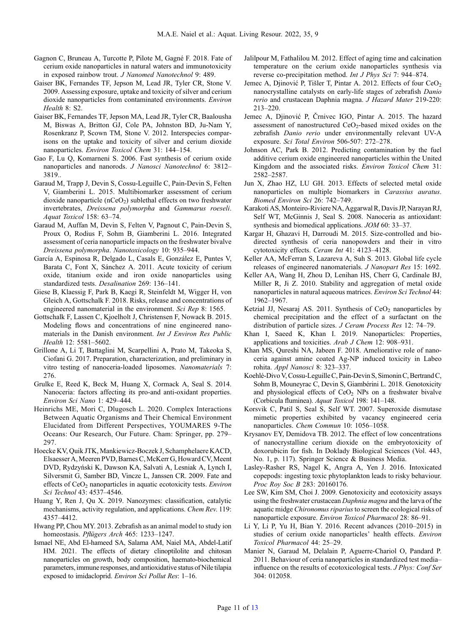- <span id="page-10-0"></span>Gagnon C, Bruneau A, Turcotte P, Pilote M, Gagné F. 2018. Fate of cerium oxide nanoparticles in natural waters and immunotoxicity in exposed rainbow trout. J Nanomed Nanotechnol 9: 489.
- Gaiser BK, Fernandes TF, Jepson M, Lead JR, Tyler CR, Stone V. 2009. Assessing exposure, uptake and toxicity of silver and cerium dioxide nanoparticles from contaminated environments. Environ Health 8: S2.
- Gaiser BK, Fernandes TF, Jepson MA, Lead JR, Tyler CR, Baalousha M, Biswas A, Britton GJ, Cole PA, Johnston BD, Ju-Nam Y, Rosenkranz P, Scown TM, Stone V. 2012. Interspecies comparisons on the uptake and toxicity of silver and cerium dioxide nanoparticles. Environ Toxicol Chem 31: 144–154.
- Gao F, Lu Q, Komarneni S. 2006. Fast synthesis of cerium oxide nanoparticles and nanorods. J Nanosci Nanotechnol 6: 3812– 3819..
- Garaud M, Trapp J, Devin S, Cossu-Leguille C, Pain-Devin S, Felten V, Giamberini L. 2015. Multibiomarker assessment of cerium dioxide nanoparticle ( $nCeO<sub>2</sub>$ ) sublethal effects on two freshwater invertebrates, Dreissena polymorpha and Gammarus roeseli. Aquat Toxicol 158: 63–74.
- Garaud M, Auffan M, Devin S, Felten V, Pagnout C, Pain-Devin S, Proux O, Rodius F, Sohm B, Giamberini L. 2016. Integrated assessment of ceria nanoparticle impacts on the freshwater bivalve Dreissena polymorpha. Nanotoxicology 10: 935–944.
- García A, Espinosa R, Delgado L, Casals E, González E, Puntes V, Barata C, Font X, Sánchez A. 2011. Acute toxicity of cerium oxide, titanium oxide and iron oxide nanoparticles using standardized tests. Desalination 269: 136–141.
- Giese B, Klaessig F, Park B, Kaegi R, Steinfeldt M, Wigger H, von Gleich A, Gottschalk F. 2018. Risks, release and concentrations of engineered nanomaterial in the environment. Sci Rep 8: 1565.
- Gottschalk F, Lassen C, Kjoelholt J, Christensen F, Nowack B. 2015. Modeling flows and concentrations of nine engineered nanomaterials in the Danish environment. Int J Environ Res Public Health 12: 5581–5602.
- Grillone A, Li T, Battaglini M, Scarpellini A, Prato M, Takeoka S, Ciofani G. 2017. Preparation, characterization, and preliminary in vitro testing of nanoceria-loaded liposomes. Nanomaterials 7: 276.
- Grulke E, Reed K, Beck M, Huang X, Cormack A, Seal S. 2014. Nanoceria: factors affecting its pro-and anti-oxidant properties. Environ Sci Nano 1: 429–444.
- Heinrichs ME, Mori C, Dlugosch L. 2020. Complex Interactions Between Aquatic Organisms and Their Chemical Environment Elucidated from Different Perspectives, YOUMARES 9-The Oceans: Our Research, Our Future. Cham: Springer, pp. 279– 297.
- Hoecke KV, Quik JTK, Mankiewicz-Boczek J, Schamphelaere KACD, Elsaesser A, Meeren PVD, Barnes C, McKerr G, Howard CV, Meent DVD, Rydzyński K, Dawson KA, Salvati A, Lesniak A, Lynch I, Silversmit G, Samber BD, Vincze L, Janssen CR. 2009. Fate and effects of  $CeO<sub>2</sub>$  nanoparticles in aquatic ecotoxicity tests. Environ Sci Technol 43: 4537–4546.
- Huang Y, Ren J, Qu X. 2019. Nanozymes: classification, catalytic mechanisms, activity regulation, and applications. Chem Rev. 119: 4357–4412.
- Hwang PP, Chou MY. 2013. Zebrafish as an animal model to study ion homeostasis. Pflügers Arch 465: 1233-1247.
- Ismael NE, Abd El-hameed SA, Salama AM, Naiel MA, Abdel-Latif HM. 2021. The effects of dietary clinoptilolite and chitosan nanoparticles on growth, body composition, haemato-biochemical parameters,immune responses, and antioxidative status of Nile tilapia exposed to imidacloprid. Environ Sci Pollut Res: 1–16.
- Jalilpour M, Fathalilou M. 2012. Effect of aging time and calcination temperature on the cerium oxide nanoparticles synthesis via reverse co-precipitation method. Int J Phys Sci 7: 944–874.
- Jemec A, Djinović P, Tišler T, Pintar A. 2012. Effects of four CeO<sub>2</sub> nanocrystalline catalysts on early-life stages of zebrafish Danio rerio and crustacean Daphnia magna. J Hazard Mater 219-220: 213–220.
- Jemec A, Djinović P, Črnivec IGO, Pintar A. 2015. The hazard assessment of nanostructured CeO<sub>2</sub>-based mixed oxides on the zebrafish Danio rerio under environmentally relevant UV-A exposure. Sci Total Environ 506-507: 272–278.
- Johnson AC, Park B. 2012. Predicting contamination by the fuel additive cerium oxide engineered nanoparticles within the United Kingdom and the associated risks. Environ Toxicol Chem 31: 2582–2587.
- Jun X, Zhao HZ, LU GH. 2013. Effects of selected metal oxide nanoparticles on multiple biomarkers in Carassius auratus. Biomed Environ Sci 26: 742–749.
- Karakoti AS,Monteiro-Riviere NA, Aggarwal R, Davis JP, NarayanRJ, Self WT, McGinnis J, Seal S. 2008. Nanoceria as antioxidant: synthesis and biomedical applications. JOM 60: 33–37.
- Kargar H, Ghazavi H, Darroudi M. 2015. Size-controlled and biodirected synthesis of ceria nanopowders and their in vitro cytotoxicity effects. Ceram Int 41: 4123–4128.
- Keller AA, McFerran S, Lazareva A, Suh S. 2013. Global life cycle releases of engineered nanomaterials. J Nanopart Res 15: 1692.
- Keller AA, Wang H, Zhou D, Lenihan HS, Cherr G, Cardinale BJ, Miller R, Ji Z. 2010. Stability and aggregation of metal oxide nanoparticles in natural aqueous matrices. Environ Sci Technol 44: 1962–1967.
- Ketzial JJ, Nesaraj AS. 2011. Synthesis of  $CeO<sub>2</sub>$  nanoparticles by chemical precipitation and the effect of a surfactant on the distribution of particle sizes. J Ceram Process Res 12: 74–79.
- Khan I, Saeed K, Khan I. 2019. Nanoparticles: Properties, applications and toxicities. Arab J Chem 12: 908–931.
- Khan MS, Qureshi NA, Jabeen F. 2018. Ameliorative role of nanoceria against amine coated Ag-NP induced toxicity in Labeo rohita. Appl Nanosci 8: 323–337.
- Koehlé-Divo V, Cossu-LeguilleC, Pain-Devin S, Simonin C, Bertrand C, Sohm B, Mouneyrac C, Devin S, Giambérini L. 2018. Genotoxicity and physiological effects of  $CeO<sub>2</sub>$  NPs on a freshwater bivalve (Corbicula fluminea). Aquat Toxicol 198: 141–148.
- Korsvik C, Patil S, Seal S, Self WT. 2007. Superoxide dismutase mimetic properties exhibited by vacancy engineered ceria nanoparticles. Chem Commun 10: 1056–1058.
- Krysanov EY, Demidova TB. 2012. The effect of low concentrations of nanocrystalline cerium dioxide on the embryotoxicity of doxorubicin for fish. In Doklady Biological Sciences (Vol. 443, No. 1, p. 117). Springer Science & Business Media.
- Lasley-Rasher RS, Nagel K, Angra A, Yen J. 2016. Intoxicated copepods: ingesting toxic phytoplankton leads to risky behaviour. Proc Roy Soc B 283: 20160176.
- Lee SW, Kim SM, Choi J. 2009. Genotoxicity and ecotoxicity assays using the freshwater crustacean Daphnia magna and the larva of the aquatic midge Chironomus riparius to screen the ecological risks of nanoparticle exposure. Environ Toxicol Pharmacol 28: 86–91.
- Li Y, Li P, Yu H, Bian Y. 2016. Recent advances (2010–2015) in studies of cerium oxide nanoparticles' health effects. Environ Toxicol Pharmacol 44: 25–29.
- Manier N, Garaud M, Delalain P, Aguerre-Chariol O, Pandard P. 2011. Behaviour of ceria nanoparticles in standardized test media– influence on the results of ecotoxicological tests. J Phys: Conf Ser 304: 012058.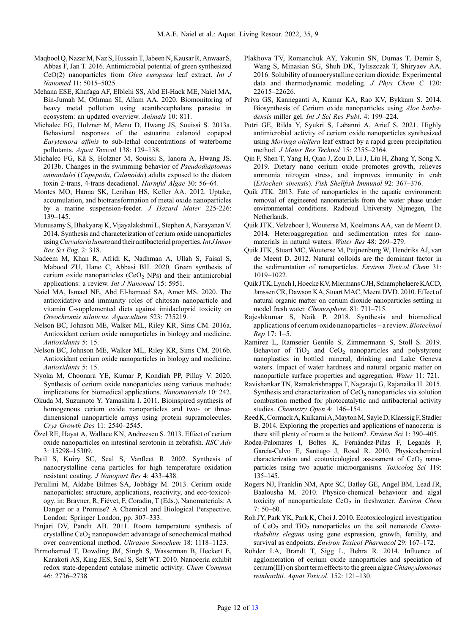- <span id="page-11-0"></span>Maqbool Q, NazarM, Naz S, Hussain T, Jabeen N, Kausar R, Anwaar S, Abbas F, Jan T. 2016. Antimicrobial potential of green synthesized CeO(2) nanoparticles from Olea europaea leaf extract. Int J Nanomed 11: 5015–5025.
- Mehana ESE, Khafaga AF, Elblehi SS, Abd El-Hack ME, Naiel MA, Bin-Jumah M, Othman SI, Allam AA. 2020. Biomonitoring of heavy metal pollution using acanthocephalans parasite in ecosystem: an updated overview. Animals 10: 811.
- Michalec FG, Holzner M, Menu D, Hwang JS, Souissi S. 2013a. Behavioral responses of the estuarine calanoid copepod Eurytemora affinis to sub-lethal concentrations of waterborne pollutants. Aquat Toxicol 138: 129–138.
- Michalec FG, Kâ S, Holzner M, Souissi S, Ianora A, Hwang JS. 2013b. Changes in the swimming behavior of Pseudodiaptomus annandalei (Copepoda, Calanoida) adults exposed to the diatom toxin 2-trans, 4-trans decadienal. Harmful Algae 30: 56–64.
- Montes MO, Hanna SK, Lenihan HS, Keller AA. 2012. Uptake, accumulation, and biotransformation of metal oxide nanoparticles by a marine suspension-feeder. J Hazard Mater 225-226: 139–145.
- Munusamy S, Bhakyaraj K, Vijayalakshmi L, Stephen A, Narayanan V. 2014. Synthesis and characterization of cerium oxide nanoparticles using Curvularia lunata and their antibacterial properties. Int J Innov Res Sci Eng. 2: 318.
- Nadeem M, Khan R, Afridi K, Nadhman A, Ullah S, Faisal S, Mabood ZU, Hano C, Abbasi BH. 2020. Green synthesis of cerium oxide nanoparticles  $(CeO<sub>2</sub> NPs)$  and their antimicrobial applications: a review. Int J Nanomed 15: 5951.
- Naiel MA, Ismael NE, Abd El-hameed SA, Amer MS. 2020. The antioxidative and immunity roles of chitosan nanoparticle and vitamin C-supplemented diets against imidacloprid toxicity on Oreochromis niloticus. Aquaculture 523: 735219.
- Nelson BC, Johnson ME, Walker ML, Riley KR, Sims CM. 2016a. Antioxidant cerium oxide nanoparticles in biology and medicine. Antioxidants 5: 15.
- Nelson BC, Johnson ME, Walker ML, Riley KR, Sims CM. 2016b. Antioxidant cerium oxide nanoparticles in biology and medicine. Antioxidants 5: 15.
- Nyoka M, Choonara YE, Kumar P, Kondiah PP, Pillay V. 2020. Synthesis of cerium oxide nanoparticles using various methods: implications for biomedical applications. Nanomaterials 10: 242.
- Okuda M, Suzumoto Y, Yamashita I. 2011. Bioinspired synthesis of homogenous cerium oxide nanoparticles and two- or threedimensional nanoparticle arrays using protein supramolecules. Crys Growth Des 11: 2540–2545.
- Özel RE, Hayat A, Wallace KN, Andreescu S. 2013. Effect of cerium oxide nanoparticles on intestinal serotonin in zebrafish. RSC Adv 3: 15298–15309.
- Patil S, Kuiry SC, Seal S, Vanfleet R. 2002. Synthesis of nanocrystalline ceria particles for high temperature oxidation resistant coating. J Nanopart Res 4: 433–438.
- Perullini M, Aldabe Bilmes SA, Jobbágy M. 2013. Cerium oxide nanoparticles: structure, applications, reactivity, and eco-toxicology. in: Brayner, R, Fiévet, F, Coradin, T (Eds.), Nanomaterials: A Danger or a Promise? A Chemical and Biological Perspective. London: Springer London, pp. 307–333.
- Pinjari DV, Pandit AB. 2011. Room temperature synthesis of crystalline  $CeO<sub>2</sub>$  nanopowder: advantage of sonochemical method over conventional method. Ultrason Sonochem 18: 1118–1123.
- Pirmohamed T, Dowding JM, Singh S, Wasserman B, Heckert E, Karakoti AS, King JES, Seal S, Self WT. 2010. Nanoceria exhibit redox state-dependent catalase mimetic activity. Chem Commun 46: 2736–2738.
- Plakhova TV, Romanchuk AY, Yakunin SN, Dumas T, Demir S, Wang S, Minasian SG, Shuh DK, Tyliszczak T, Shiryaev AA. 2016. Solubility of nanocrystalline cerium dioxide: Experimental data and thermodynamic modeling. J Phys Chem C 120: 22615–22626.
- Priya GS, Kanneganti A, Kumar KA, Rao KV, Bykkam S. 2014. Biosynthesis of Cerium oxide nanoparticles using Aloe barbadensis miller gel. Int J Sci Res Publ. 4: 199-224.
- Putri GE, Rilda Y, Syukri S, Labanni A, Arief S. 2021. Highly antimicrobial activity of cerium oxide nanoparticles synthesized using Moringa oleifera leaf extract by a rapid green precipitation method. J Mater Res Technol 15: 2355–2364.
- Qin F, Shen T, Yang H, Qian J, Zou D, Li J, Liu H, Zhang Y, Song X. 2019. Dietary nano cerium oxide promotes growth, relieves ammonia nitrogen stress, and improves immunity in crab (Eriocheir sinensis). Fish Shellfish Immunol 92: 367–376.
- Quik JTK. 2013. Fate of nanoparticles in the aquatic environment: removal of engineered nanomaterials from the water phase under environmental conditions. Radboud University Nijmegen, The Netherlands.
- Quik JTK, Velzeboer I, Wouterse M, Koelmans AA, van de Meent D. 2014. Heteroaggregation and sedimentation rates for nanomaterials in natural waters. Water Res 48: 269–279.
- Quik JTK, Stuart MC, Wouterse M, Peijnenburg W, Hendriks AJ, van de Meent D. 2012. Natural colloids are the dominant factor in the sedimentation of nanoparticles. Environ Toxicol Chem 31: 1019–1022.
- Quik JTK, Lynch I, Hoecke KV, Miermans CJH, Schamphelaere KACD, Janssen CR, Dawson KA, Stuart MAC, Meent DVD. 2010. Effect of natural organic matter on cerium dioxide nanoparticles settling in model fresh water. Chemosphere. 81: 711–715.
- Rajeshkumar S, Naik P. 2018. Synthesis and biomedical applications of cerium oxide nanoparticles – a review. Biotechnol Rep 17: 1–5.
- Ramirez L, Ramseier Gentile S, Zimmermann S, Stoll S. 2019. Behavior of  $TiO<sub>2</sub>$  and  $CeO<sub>2</sub>$  nanoparticles and polystyrene nanoplastics in bottled mineral, drinking and Lake Geneva waters. Impact of water hardness and natural organic matter on nanoparticle surface properties and aggregation. Water 11: 721.
- Ravishankar TN, Ramakrishnappa T, Nagaraju G, Rajanaika H. 2015. Synthesis and characterization of  $CeO<sub>2</sub>$  nanoparticles via solution combustion method for photocatalytic and antibacterial activity studies. Chemistry Open 4: 146–154.
- ReedK,CormackA, KulkarniA,MaytonM,SayleD,Klaessig F, Stadler B. 2014. Exploring the properties and applications of nanoceria: is there still plenty of room at the bottom?. Environ Sci 1: 390–405.
- Rodea-Palomares I, Boltes K, Fernández-Piñas F, Leganés F, García-Calvo E, Santiago J, Rosal R. 2010. Physicochemical characterization and ecotoxicological assessment of  $CeO<sub>2</sub>$  nanoparticles using two aquatic microorganisms. Toxicolog Sci 119: 135–145.
- Rogers NJ, Franklin NM, Apte SC, Batley GE, Angel BM, Lead JR, Baalousha M. 2010. Physico-chemical behaviour and algal toxicity of nanoparticulate  $CeO<sub>2</sub>$  in freshwater. Environ Chem 7: 50–60.
- Roh JY, Park YK, Park K, Choi J. 2010. Ecotoxicological investigation of  $CeO<sub>2</sub>$  and  $TiO<sub>2</sub>$  nanoparticles on the soil nematode *Caeno*rhabditis elegans using gene expression, growth, fertility, and survival as endpoints. Environ Toxicol Pharmacol 29: 167–172.
- Röhder LA, Brandt T, Sigg L, Behra R. 2014. Influence of agglomeration of cerium oxide nanoparticles and speciation of cerium(III) on short term effects to the green algae Chlamydomonas reinhardtii. Aquat Toxicol. 152: 121–130.